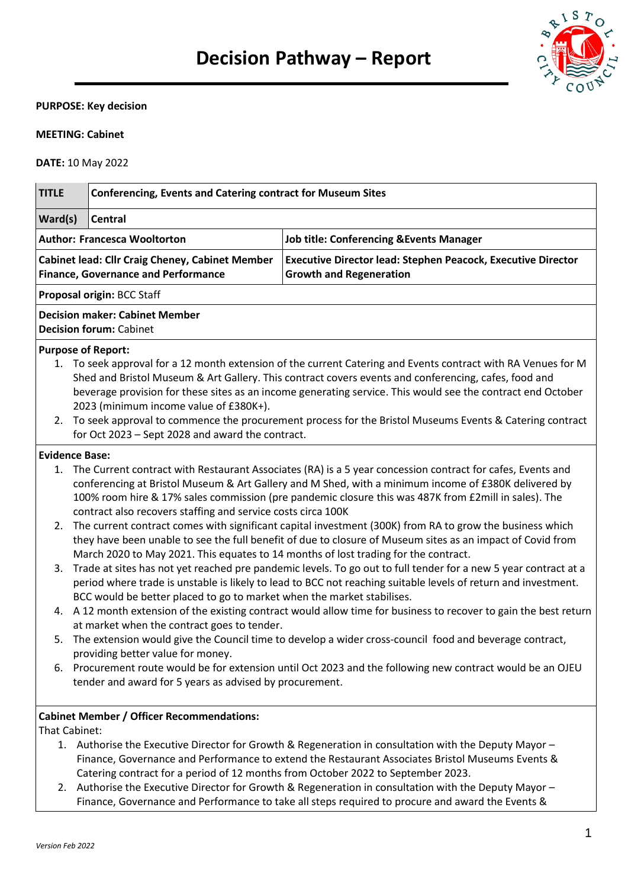

### **PURPOSE: Key decision**

# **MEETING: Cabinet**

**DATE:** 10 May 2022

| <b>TITLE</b>                                                                                  | <b>Conferencing, Events and Catering contract for Museum Sites</b>                                                                                                                                                                                                                                                                                                                                                                                                                                                                                                                                                                                                                                                                                                                                                                                                                                                                                                                                                                                                                                                                                                                                                                                                                                                                                                                                                                                                                                                                                       |                                                                                                         |  |  |  |
|-----------------------------------------------------------------------------------------------|----------------------------------------------------------------------------------------------------------------------------------------------------------------------------------------------------------------------------------------------------------------------------------------------------------------------------------------------------------------------------------------------------------------------------------------------------------------------------------------------------------------------------------------------------------------------------------------------------------------------------------------------------------------------------------------------------------------------------------------------------------------------------------------------------------------------------------------------------------------------------------------------------------------------------------------------------------------------------------------------------------------------------------------------------------------------------------------------------------------------------------------------------------------------------------------------------------------------------------------------------------------------------------------------------------------------------------------------------------------------------------------------------------------------------------------------------------------------------------------------------------------------------------------------------------|---------------------------------------------------------------------------------------------------------|--|--|--|
| Ward(s)                                                                                       | Central                                                                                                                                                                                                                                                                                                                                                                                                                                                                                                                                                                                                                                                                                                                                                                                                                                                                                                                                                                                                                                                                                                                                                                                                                                                                                                                                                                                                                                                                                                                                                  |                                                                                                         |  |  |  |
|                                                                                               | <b>Author: Francesca Wooltorton</b>                                                                                                                                                                                                                                                                                                                                                                                                                                                                                                                                                                                                                                                                                                                                                                                                                                                                                                                                                                                                                                                                                                                                                                                                                                                                                                                                                                                                                                                                                                                      | <b>Job title: Conferencing &amp;Events Manager</b>                                                      |  |  |  |
| Cabinet lead: Cllr Craig Cheney, Cabinet Member<br><b>Finance, Governance and Performance</b> |                                                                                                                                                                                                                                                                                                                                                                                                                                                                                                                                                                                                                                                                                                                                                                                                                                                                                                                                                                                                                                                                                                                                                                                                                                                                                                                                                                                                                                                                                                                                                          | <b>Executive Director lead: Stephen Peacock, Executive Director</b><br><b>Growth and Regeneration</b>   |  |  |  |
|                                                                                               | Proposal origin: BCC Staff                                                                                                                                                                                                                                                                                                                                                                                                                                                                                                                                                                                                                                                                                                                                                                                                                                                                                                                                                                                                                                                                                                                                                                                                                                                                                                                                                                                                                                                                                                                               |                                                                                                         |  |  |  |
|                                                                                               | <b>Decision maker: Cabinet Member</b><br><b>Decision forum: Cabinet</b>                                                                                                                                                                                                                                                                                                                                                                                                                                                                                                                                                                                                                                                                                                                                                                                                                                                                                                                                                                                                                                                                                                                                                                                                                                                                                                                                                                                                                                                                                  |                                                                                                         |  |  |  |
|                                                                                               | <b>Purpose of Report:</b>                                                                                                                                                                                                                                                                                                                                                                                                                                                                                                                                                                                                                                                                                                                                                                                                                                                                                                                                                                                                                                                                                                                                                                                                                                                                                                                                                                                                                                                                                                                                |                                                                                                         |  |  |  |
|                                                                                               | 1. To seek approval for a 12 month extension of the current Catering and Events contract with RA Venues for M<br>Shed and Bristol Museum & Art Gallery. This contract covers events and conferencing, cafes, food and<br>beverage provision for these sites as an income generating service. This would see the contract end October<br>2023 (minimum income value of £380K+).<br>2. To seek approval to commence the procurement process for the Bristol Museums Events & Catering contract                                                                                                                                                                                                                                                                                                                                                                                                                                                                                                                                                                                                                                                                                                                                                                                                                                                                                                                                                                                                                                                             |                                                                                                         |  |  |  |
|                                                                                               | for Oct 2023 - Sept 2028 and award the contract.                                                                                                                                                                                                                                                                                                                                                                                                                                                                                                                                                                                                                                                                                                                                                                                                                                                                                                                                                                                                                                                                                                                                                                                                                                                                                                                                                                                                                                                                                                         |                                                                                                         |  |  |  |
| 5.                                                                                            | <b>Evidence Base:</b><br>1. The Current contract with Restaurant Associates (RA) is a 5 year concession contract for cafes, Events and<br>conferencing at Bristol Museum & Art Gallery and M Shed, with a minimum income of £380K delivered by<br>100% room hire & 17% sales commission (pre pandemic closure this was 487K from £2mill in sales). The<br>contract also recovers staffing and service costs circa 100K<br>2. The current contract comes with significant capital investment (300K) from RA to grow the business which<br>they have been unable to see the full benefit of due to closure of Museum sites as an impact of Covid from<br>March 2020 to May 2021. This equates to 14 months of lost trading for the contract.<br>3. Trade at sites has not yet reached pre pandemic levels. To go out to full tender for a new 5 year contract at a<br>period where trade is unstable is likely to lead to BCC not reaching suitable levels of return and investment.<br>BCC would be better placed to go to market when the market stabilises.<br>4. A 12 month extension of the existing contract would allow time for business to recover to gain the best return<br>at market when the contract goes to tender.<br>The extension would give the Council time to develop a wider cross-council food and beverage contract,<br>providing better value for money.<br>6. Procurement route would be for extension until Oct 2023 and the following new contract would be an OJEU<br>tender and award for 5 years as advised by procurement. |                                                                                                         |  |  |  |
| That Cabinet:                                                                                 | <b>Cabinet Member / Officer Recommendations:</b>                                                                                                                                                                                                                                                                                                                                                                                                                                                                                                                                                                                                                                                                                                                                                                                                                                                                                                                                                                                                                                                                                                                                                                                                                                                                                                                                                                                                                                                                                                         | 1. Authorise the Executive Director for Growth & Regeneration in consultation with the Deputy Mayor $-$ |  |  |  |

- 1. Authorise the Executive Director for Growth & Regeneration in consultation with the Deputy Mayor Finance, Governance and Performance to extend the Restaurant Associates Bristol Museums Events & Catering contract for a period of 12 months from October 2022 to September 2023.
- 2. Authorise the Executive Director for Growth & Regeneration in consultation with the Deputy Mayor -Finance, Governance and Performance to take all steps required to procure and award the Events &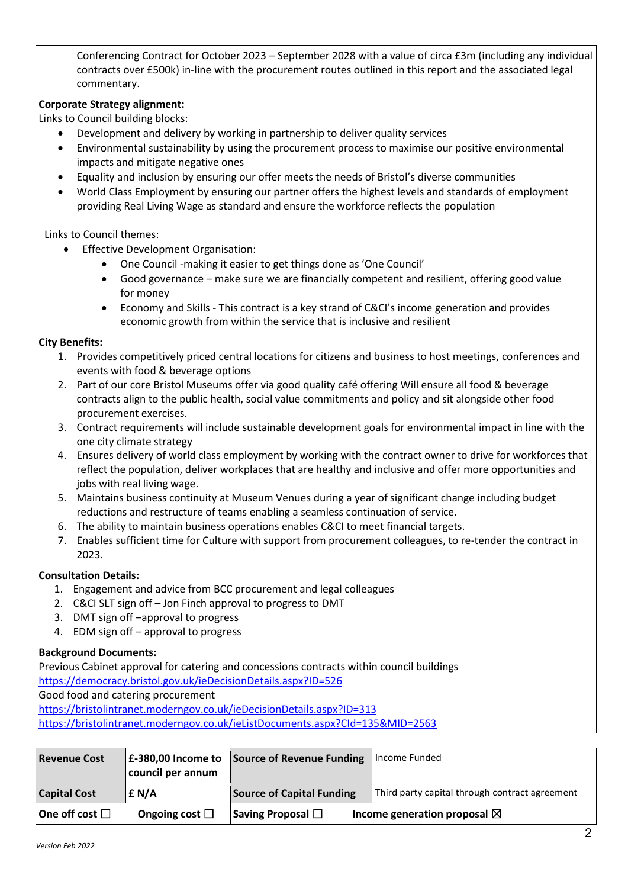Conferencing Contract for October 2023 – September 2028 with a value of circa £3m (including any individual contracts over £500k) in-line with the procurement routes outlined in this report and the associated legal commentary.

### **Corporate Strategy alignment:**

Links to Council building blocks:

- Development and delivery by working in partnership to deliver quality services
- Environmental sustainability by using the procurement process to maximise our positive environmental impacts and mitigate negative ones
- Equality and inclusion by ensuring our offer meets the needs of Bristol's diverse communities
- World Class Employment by ensuring our partner offers the highest levels and standards of employment providing Real Living Wage as standard and ensure the workforce reflects the population

Links to Council themes:

- Effective Development Organisation:
	- One Council -making it easier to get things done as 'One Council'
	- Good governance make sure we are financially competent and resilient, offering good value for money
	- Economy and Skills This contract is a key strand of C&CI's income generation and provides economic growth from within the service that is inclusive and resilient

### **City Benefits:**

- 1. Provides competitively priced central locations for citizens and business to host meetings, conferences and events with food & beverage options
- 2. Part of our core Bristol Museums offer via good quality café offering Will ensure all food & beverage contracts align to the public health, social value commitments and policy and sit alongside other food procurement exercises.
- 3. Contract requirements will include sustainable development goals for environmental impact in line with the one city climate strategy
- 4. Ensures delivery of world class employment by working with the contract owner to drive for workforces that reflect the population, deliver workplaces that are healthy and inclusive and offer more opportunities and jobs with real living wage.
- 5. Maintains business continuity at Museum Venues during a year of significant change including budget reductions and restructure of teams enabling a seamless continuation of service.
- 6. The ability to maintain business operations enables C&CI to meet financial targets.
- 7. Enables sufficient time for Culture with support from procurement colleagues, to re-tender the contract in 2023.

### **Consultation Details:**

- 1. Engagement and advice from BCC procurement and legal colleagues
- 2. C&CI SLT sign off Jon Finch approval to progress to DMT
- 3. DMT sign off –approval to progress
- 4. EDM sign off approval to progress

### **Background Documents:**

Previous Cabinet approval for catering and concessions contracts within council buildings

<https://democracy.bristol.gov.uk/ieDecisionDetails.aspx?ID=526>

Good food and catering procurement

<https://bristolintranet.moderngov.co.uk/ieDecisionDetails.aspx?ID=313>

<https://bristolintranet.moderngov.co.uk/ieListDocuments.aspx?CId=135&MID=2563>

| <b>Revenue Cost</b>    | council per annum   | E-380,00 Income to Source of Revenue Funding | Income Funded                                  |
|------------------------|---------------------|----------------------------------------------|------------------------------------------------|
| <b>Capital Cost</b>    | E N/A               | <b>Source of Capital Funding</b>             | Third party capital through contract agreement |
| One off cost $\square$ | Ongoing cost $\Box$ | Saving Proposal $\square$                    | Income generation proposal $\boxtimes$         |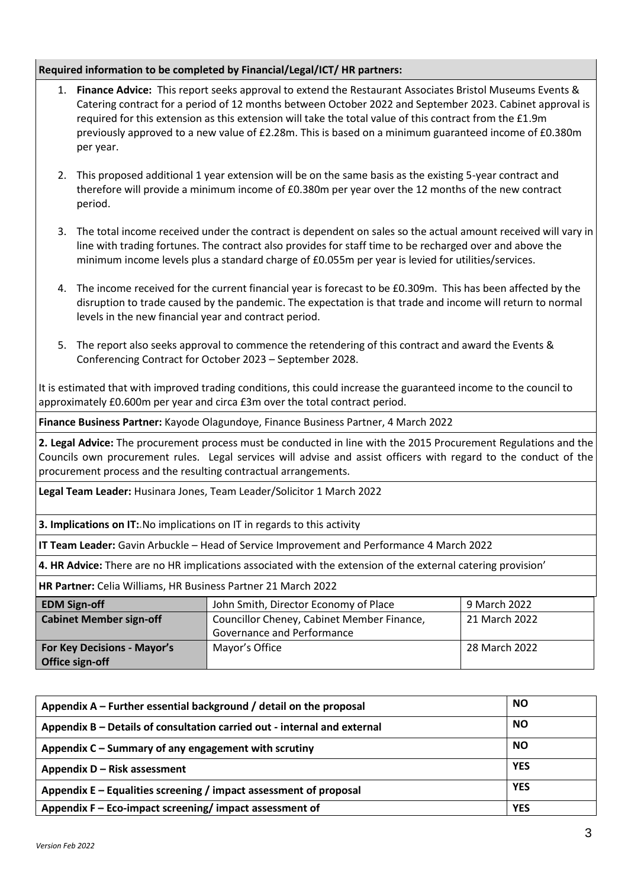# **Required information to be completed by Financial/Legal/ICT/ HR partners:**

- 1. **Finance Advice:** This report seeks approval to extend the Restaurant Associates Bristol Museums Events & Catering contract for a period of 12 months between October 2022 and September 2023. Cabinet approval is required for this extension as this extension will take the total value of this contract from the £1.9m previously approved to a new value of £2.28m. This is based on a minimum guaranteed income of £0.380m per year.
- 2. This proposed additional 1 year extension will be on the same basis as the existing 5-year contract and therefore will provide a minimum income of £0.380m per year over the 12 months of the new contract period.
- 3. The total income received under the contract is dependent on sales so the actual amount received will vary in line with trading fortunes. The contract also provides for staff time to be recharged over and above the minimum income levels plus a standard charge of £0.055m per year is levied for utilities/services.
- 4. The income received for the current financial year is forecast to be £0.309m. This has been affected by the disruption to trade caused by the pandemic. The expectation is that trade and income will return to normal levels in the new financial year and contract period.
- 5. The report also seeks approval to commence the retendering of this contract and award the Events & Conferencing Contract for October 2023 – September 2028.

It is estimated that with improved trading conditions, this could increase the guaranteed income to the council to approximately £0.600m per year and circa £3m over the total contract period.

**Finance Business Partner:** Kayode Olagundoye, Finance Business Partner, 4 March 2022

**2. Legal Advice:** The procurement process must be conducted in line with the 2015 Procurement Regulations and the Councils own procurement rules. Legal services will advise and assist officers with regard to the conduct of the procurement process and the resulting contractual arrangements.

**Legal Team Leader:** Husinara Jones, Team Leader/Solicitor 1 March 2022

**3. Implications on IT:.**No implications on IT in regards to this activity

**IT Team Leader:** Gavin Arbuckle – Head of Service Improvement and Performance 4 March 2022

**4. HR Advice:** There are no HR implications associated with the extension of the external catering provision'

**HR Partner:** Celia Williams, HR Business Partner 21 March 2022

| <b>EDM Sign-off</b>                | John Smith, Director Economy of Place      | 9 March 2022  |
|------------------------------------|--------------------------------------------|---------------|
| <b>Cabinet Member sign-off</b>     | Councillor Cheney, Cabinet Member Finance, | 21 March 2022 |
|                                    | Governance and Performance                 |               |
| <b>For Key Decisions - Mayor's</b> | Mayor's Office                             | 28 March 2022 |
| <b>Office sign-off</b>             |                                            |               |

| Appendix $A$ – Further essential background / detail on the proposal     | <b>NO</b>  |
|--------------------------------------------------------------------------|------------|
| Appendix B – Details of consultation carried out - internal and external | <b>NO</b>  |
| Appendix C - Summary of any engagement with scrutiny                     | <b>NO</b>  |
| Appendix D - Risk assessment                                             | <b>YES</b> |
| Appendix $E -$ Equalities screening / impact assessment of proposal      | <b>YES</b> |
| Appendix F – Eco-impact screening/impact assessment of                   | <b>YES</b> |